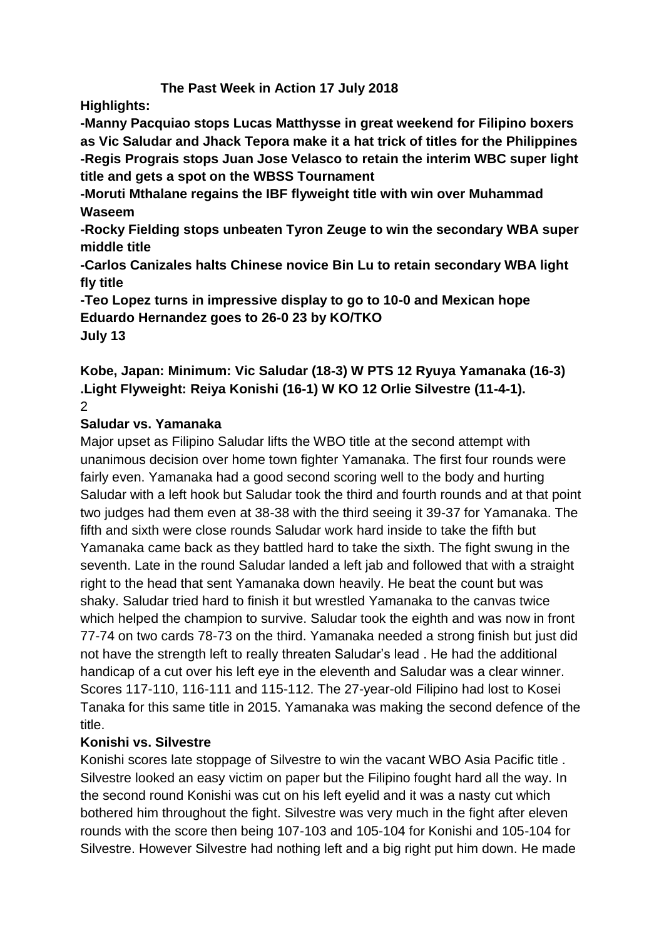# **The Past Week in Action 17 July 2018**

**Highlights:**

**-Manny Pacquiao stops Lucas Matthysse in great weekend for Filipino boxers as Vic Saludar and Jhack Tepora make it a hat trick of titles for the Philippines -Regis Prograis stops Juan Jose Velasco to retain the interim WBC super light title and gets a spot on the WBSS Tournament**

**-Moruti Mthalane regains the IBF flyweight title with win over Muhammad Waseem**

**-Rocky Fielding stops unbeaten Tyron Zeuge to win the secondary WBA super middle title**

**-Carlos Canizales halts Chinese novice Bin Lu to retain secondary WBA light fly title**

**-Teo Lopez turns in impressive display to go to 10-0 and Mexican hope Eduardo Hernandez goes to 26-0 23 by KO/TKO July 13**

#### **Kobe, Japan: Minimum: Vic Saludar (18-3) W PTS 12 Ryuya Yamanaka (16-3) .Light Flyweight: Reiya Konishi (16-1) W KO 12 Orlie Silvestre (11-4-1).** 2

# **Saludar vs. Yamanaka**

Major upset as Filipino Saludar lifts the WBO title at the second attempt with unanimous decision over home town fighter Yamanaka. The first four rounds were fairly even. Yamanaka had a good second scoring well to the body and hurting Saludar with a left hook but Saludar took the third and fourth rounds and at that point two judges had them even at 38-38 with the third seeing it 39-37 for Yamanaka. The fifth and sixth were close rounds Saludar work hard inside to take the fifth but Yamanaka came back as they battled hard to take the sixth. The fight swung in the seventh. Late in the round Saludar landed a left jab and followed that with a straight right to the head that sent Yamanaka down heavily. He beat the count but was shaky. Saludar tried hard to finish it but wrestled Yamanaka to the canvas twice which helped the champion to survive. Saludar took the eighth and was now in front 77-74 on two cards 78-73 on the third. Yamanaka needed a strong finish but just did not have the strength left to really threaten Saludar's lead . He had the additional handicap of a cut over his left eye in the eleventh and Saludar was a clear winner. Scores 117-110, 116-111 and 115-112. The 27-year-old Filipino had lost to Kosei Tanaka for this same title in 2015. Yamanaka was making the second defence of the title.

# **Konishi vs. Silvestre**

Konishi scores late stoppage of Silvestre to win the vacant WBO Asia Pacific title . Silvestre looked an easy victim on paper but the Filipino fought hard all the way. In the second round Konishi was cut on his left eyelid and it was a nasty cut which bothered him throughout the fight. Silvestre was very much in the fight after eleven rounds with the score then being 107-103 and 105-104 for Konishi and 105-104 for Silvestre. However Silvestre had nothing left and a big right put him down. He made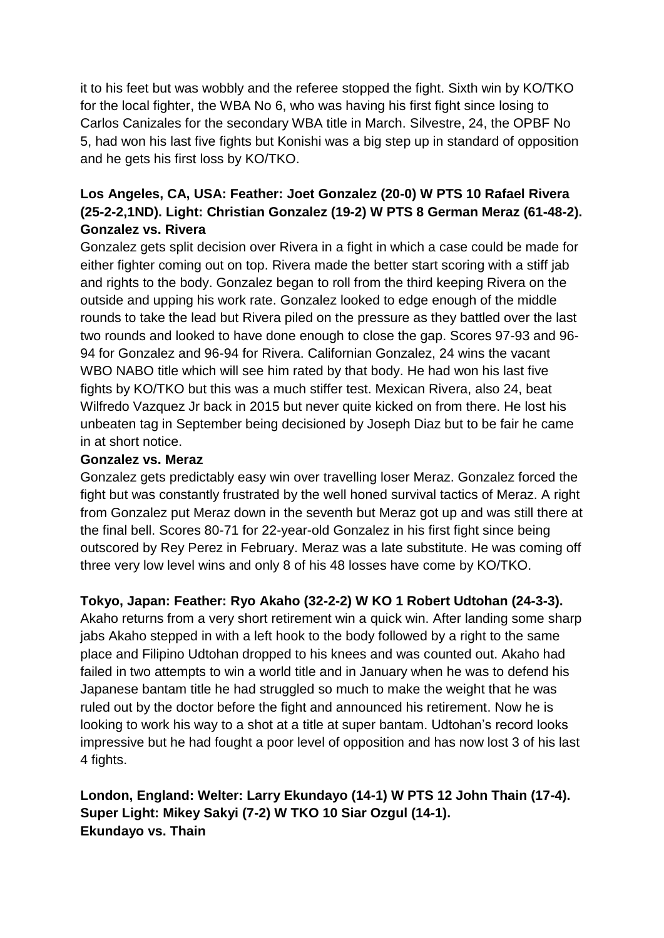it to his feet but was wobbly and the referee stopped the fight. Sixth win by KO/TKO for the local fighter, the WBA No 6, who was having his first fight since losing to Carlos Canizales for the secondary WBA title in March. Silvestre, 24, the OPBF No 5, had won his last five fights but Konishi was a big step up in standard of opposition and he gets his first loss by KO/TKO.

# **Los Angeles, CA, USA: Feather: Joet Gonzalez (20-0) W PTS 10 Rafael Rivera (25-2-2,1ND). Light: Christian Gonzalez (19-2) W PTS 8 German Meraz (61-48-2). Gonzalez vs. Rivera**

Gonzalez gets split decision over Rivera in a fight in which a case could be made for either fighter coming out on top. Rivera made the better start scoring with a stiff jab and rights to the body. Gonzalez began to roll from the third keeping Rivera on the outside and upping his work rate. Gonzalez looked to edge enough of the middle rounds to take the lead but Rivera piled on the pressure as they battled over the last two rounds and looked to have done enough to close the gap. Scores 97-93 and 96- 94 for Gonzalez and 96-94 for Rivera. Californian Gonzalez, 24 wins the vacant WBO NABO title which will see him rated by that body. He had won his last five fights by KO/TKO but this was a much stiffer test. Mexican Rivera, also 24, beat Wilfredo Vazquez Jr back in 2015 but never quite kicked on from there. He lost his unbeaten tag in September being decisioned by Joseph Diaz but to be fair he came in at short notice.

## **Gonzalez vs. Meraz**

Gonzalez gets predictably easy win over travelling loser Meraz. Gonzalez forced the fight but was constantly frustrated by the well honed survival tactics of Meraz. A right from Gonzalez put Meraz down in the seventh but Meraz got up and was still there at the final bell. Scores 80-71 for 22-year-old Gonzalez in his first fight since being outscored by Rey Perez in February. Meraz was a late substitute. He was coming off three very low level wins and only 8 of his 48 losses have come by KO/TKO.

# **Tokyo, Japan: Feather: Ryo Akaho (32-2-2) W KO 1 Robert Udtohan (24-3-3).**

Akaho returns from a very short retirement win a quick win. After landing some sharp jabs Akaho stepped in with a left hook to the body followed by a right to the same place and Filipino Udtohan dropped to his knees and was counted out. Akaho had failed in two attempts to win a world title and in January when he was to defend his Japanese bantam title he had struggled so much to make the weight that he was ruled out by the doctor before the fight and announced his retirement. Now he is looking to work his way to a shot at a title at super bantam. Udtohan's record looks impressive but he had fought a poor level of opposition and has now lost 3 of his last 4 fights.

# **London, England: Welter: Larry Ekundayo (14-1) W PTS 12 John Thain (17-4). Super Light: Mikey Sakyi (7-2) W TKO 10 Siar Ozgul (14-1). Ekundayo vs. Thain**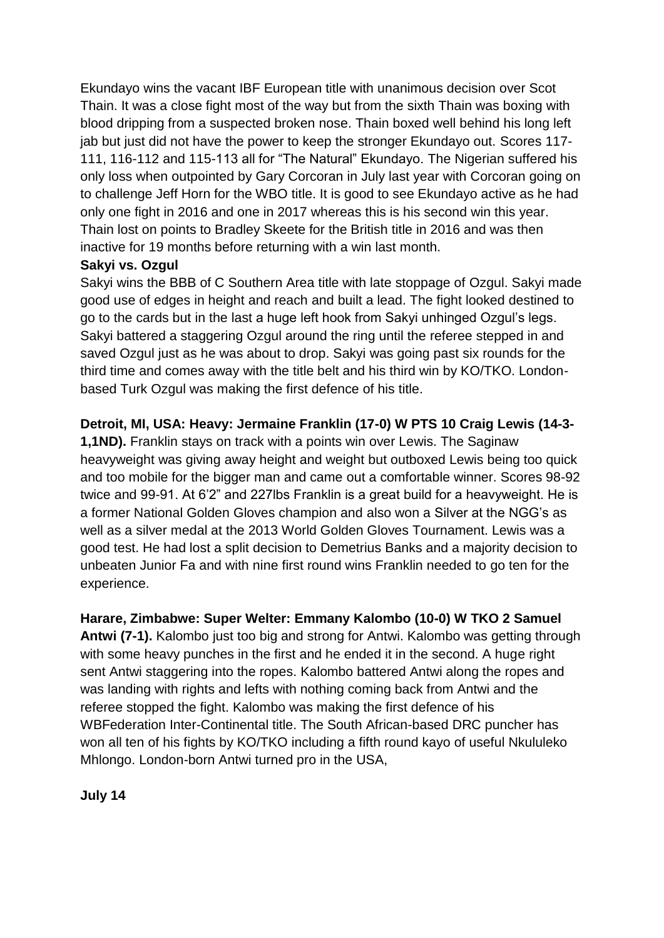Ekundayo wins the vacant IBF European title with unanimous decision over Scot Thain. It was a close fight most of the way but from the sixth Thain was boxing with blood dripping from a suspected broken nose. Thain boxed well behind his long left jab but just did not have the power to keep the stronger Ekundayo out. Scores 117- 111, 116-112 and 115-113 all for "The Natural" Ekundayo. The Nigerian suffered his only loss when outpointed by Gary Corcoran in July last year with Corcoran going on to challenge Jeff Horn for the WBO title. It is good to see Ekundayo active as he had only one fight in 2016 and one in 2017 whereas this is his second win this year. Thain lost on points to Bradley Skeete for the British title in 2016 and was then inactive for 19 months before returning with a win last month.

## **Sakyi vs. Ozgul**

Sakyi wins the BBB of C Southern Area title with late stoppage of Ozgul. Sakyi made good use of edges in height and reach and built a lead. The fight looked destined to go to the cards but in the last a huge left hook from Sakyi unhinged Ozgul's legs. Sakyi battered a staggering Ozgul around the ring until the referee stepped in and saved Ozgul just as he was about to drop. Sakyi was going past six rounds for the third time and comes away with the title belt and his third win by KO/TKO. Londonbased Turk Ozgul was making the first defence of his title.

## **Detroit, MI, USA: Heavy: Jermaine Franklin (17-0) W PTS 10 Craig Lewis (14-3-**

**1,1ND).** Franklin stays on track with a points win over Lewis. The Saginaw heavyweight was giving away height and weight but outboxed Lewis being too quick and too mobile for the bigger man and came out a comfortable winner. Scores 98-92 twice and 99-91. At 6'2" and 227lbs Franklin is a great build for a heavyweight. He is a former National Golden Gloves champion and also won a Silver at the NGG's as well as a silver medal at the 2013 World Golden Gloves Tournament. Lewis was a good test. He had lost a split decision to Demetrius Banks and a majority decision to unbeaten Junior Fa and with nine first round wins Franklin needed to go ten for the experience.

## **Harare, Zimbabwe: Super Welter: Emmany Kalombo (10-0) W TKO 2 Samuel**

**Antwi (7-1).** Kalombo just too big and strong for Antwi. Kalombo was getting through with some heavy punches in the first and he ended it in the second. A huge right sent Antwi staggering into the ropes. Kalombo battered Antwi along the ropes and was landing with rights and lefts with nothing coming back from Antwi and the referee stopped the fight. Kalombo was making the first defence of his WBFederation Inter-Continental title. The South African-based DRC puncher has won all ten of his fights by KO/TKO including a fifth round kayo of useful Nkululeko Mhlongo. London-born Antwi turned pro in the USA,

**July 14**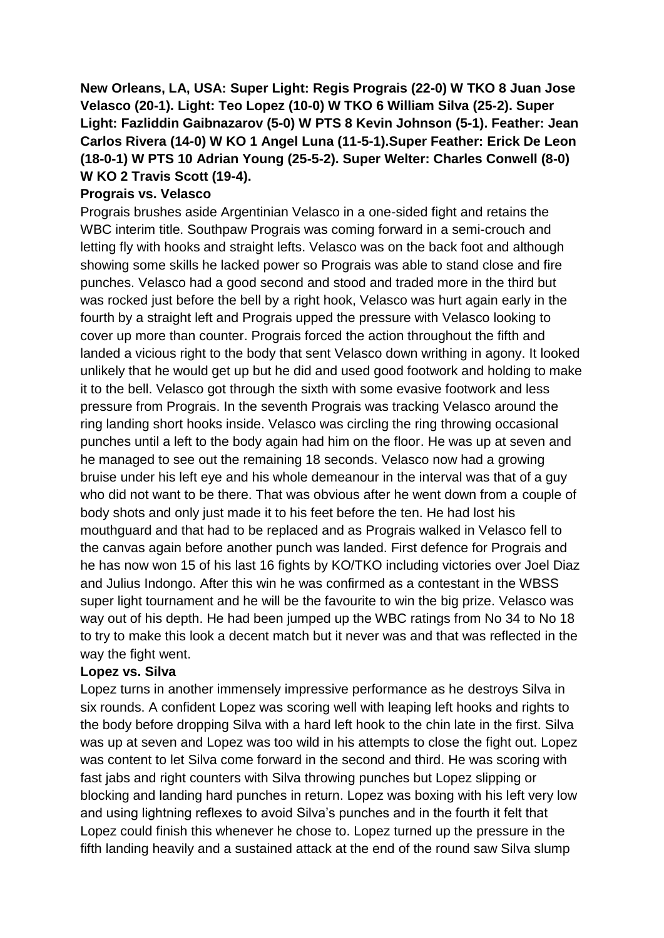**New Orleans, LA, USA: Super Light: Regis Prograis (22-0) W TKO 8 Juan Jose Velasco (20-1). Light: Teo Lopez (10-0) W TKO 6 William Silva (25-2). Super Light: Fazliddin Gaibnazarov (5-0) W PTS 8 Kevin Johnson (5-1). Feather: Jean Carlos Rivera (14-0) W KO 1 Angel Luna (11-5-1).Super Feather: Erick De Leon (18-0-1) W PTS 10 Adrian Young (25-5-2). Super Welter: Charles Conwell (8-0) W KO 2 Travis Scott (19-4).** 

## **Prograis vs. Velasco**

Prograis brushes aside Argentinian Velasco in a one-sided fight and retains the WBC interim title. Southpaw Prograis was coming forward in a semi-crouch and letting fly with hooks and straight lefts. Velasco was on the back foot and although showing some skills he lacked power so Prograis was able to stand close and fire punches. Velasco had a good second and stood and traded more in the third but was rocked just before the bell by a right hook, Velasco was hurt again early in the fourth by a straight left and Prograis upped the pressure with Velasco looking to cover up more than counter. Prograis forced the action throughout the fifth and landed a vicious right to the body that sent Velasco down writhing in agony. It looked unlikely that he would get up but he did and used good footwork and holding to make it to the bell. Velasco got through the sixth with some evasive footwork and less pressure from Prograis. In the seventh Prograis was tracking Velasco around the ring landing short hooks inside. Velasco was circling the ring throwing occasional punches until a left to the body again had him on the floor. He was up at seven and he managed to see out the remaining 18 seconds. Velasco now had a growing bruise under his left eye and his whole demeanour in the interval was that of a guy who did not want to be there. That was obvious after he went down from a couple of body shots and only just made it to his feet before the ten. He had lost his mouthguard and that had to be replaced and as Prograis walked in Velasco fell to the canvas again before another punch was landed. First defence for Prograis and he has now won 15 of his last 16 fights by KO/TKO including victories over Joel Diaz and Julius Indongo. After this win he was confirmed as a contestant in the WBSS super light tournament and he will be the favourite to win the big prize. Velasco was way out of his depth. He had been jumped up the WBC ratings from No 34 to No 18 to try to make this look a decent match but it never was and that was reflected in the way the fight went.

#### **Lopez vs. Silva**

Lopez turns in another immensely impressive performance as he destroys Silva in six rounds. A confident Lopez was scoring well with leaping left hooks and rights to the body before dropping Silva with a hard left hook to the chin late in the first. Silva was up at seven and Lopez was too wild in his attempts to close the fight out. Lopez was content to let Silva come forward in the second and third. He was scoring with fast jabs and right counters with Silva throwing punches but Lopez slipping or blocking and landing hard punches in return. Lopez was boxing with his left very low and using lightning reflexes to avoid Silva's punches and in the fourth it felt that Lopez could finish this whenever he chose to. Lopez turned up the pressure in the fifth landing heavily and a sustained attack at the end of the round saw Silva slump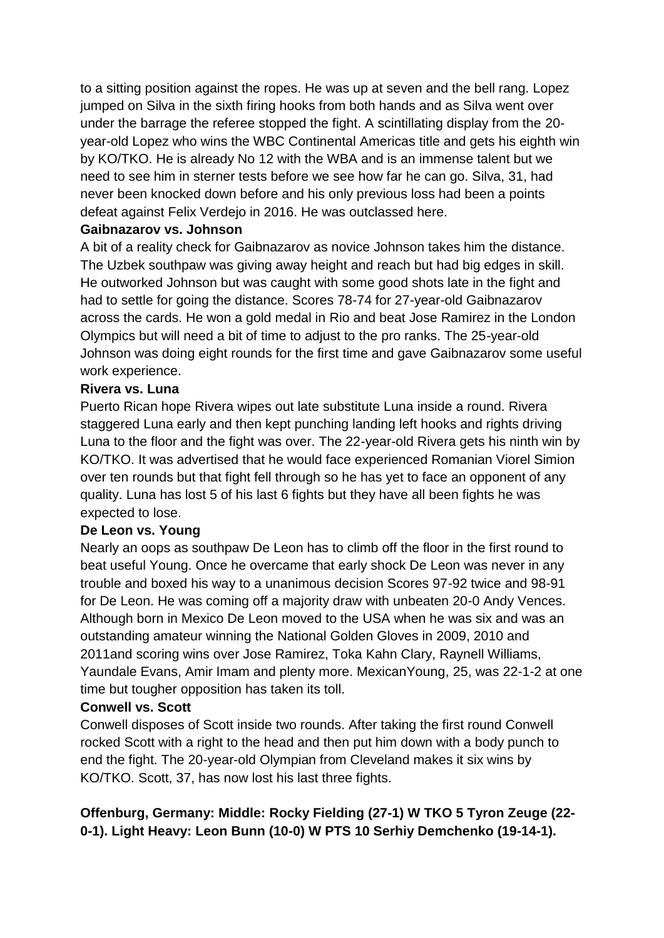to a sitting position against the ropes. He was up at seven and the bell rang. Lopez jumped on Silva in the sixth firing hooks from both hands and as Silva went over under the barrage the referee stopped the fight. A scintillating display from the 20 year-old Lopez who wins the WBC Continental Americas title and gets his eighth win by KO/TKO. He is already No 12 with the WBA and is an immense talent but we need to see him in sterner tests before we see how far he can go. Silva, 31, had never been knocked down before and his only previous loss had been a points defeat against Felix Verdejo in 2016. He was outclassed here.

#### **Gaibnazarov vs. Johnson**

A bit of a reality check for Gaibnazarov as novice Johnson takes him the distance. The Uzbek southpaw was giving away height and reach but had big edges in skill. He outworked Johnson but was caught with some good shots late in the fight and had to settle for going the distance. Scores 78-74 for 27-year-old Gaibnazarov across the cards. He won a gold medal in Rio and beat Jose Ramirez in the London Olympics but will need a bit of time to adjust to the pro ranks. The 25-year-old Johnson was doing eight rounds for the first time and gave Gaibnazarov some useful work experience.

#### **Rivera vs. Luna**

Puerto Rican hope Rivera wipes out late substitute Luna inside a round. Rivera staggered Luna early and then kept punching landing left hooks and rights driving Luna to the floor and the fight was over. The 22-year-old Rivera gets his ninth win by KO/TKO. It was advertised that he would face experienced Romanian Viorel Simion over ten rounds but that fight fell through so he has yet to face an opponent of any quality. Luna has lost 5 of his last 6 fights but they have all been fights he was expected to lose.

#### **De Leon vs. Young**

Nearly an oops as southpaw De Leon has to climb off the floor in the first round to beat useful Young. Once he overcame that early shock De Leon was never in any trouble and boxed his way to a unanimous decision Scores 97-92 twice and 98-91 for De Leon. He was coming off a majority draw with unbeaten 20-0 Andy Vences. Although born in Mexico De Leon moved to the USA when he was six and was an outstanding amateur winning the National Golden Gloves in 2009, 2010 and 2011and scoring wins over Jose Ramirez, Toka Kahn Clary, Raynell Williams, Yaundale Evans, Amir Imam and plenty more. MexicanYoung, 25, was 22-1-2 at one time but tougher opposition has taken its toll.

#### **Conwell vs. Scott**

Conwell disposes of Scott inside two rounds. After taking the first round Conwell rocked Scott with a right to the head and then put him down with a body punch to end the fight. The 20-year-old Olympian from Cleveland makes it six wins by KO/TKO. Scott, 37, has now lost his last three fights.

# **Offenburg, Germany: Middle: Rocky Fielding (27-1) W TKO 5 Tyron Zeuge (22- 0-1). Light Heavy: Leon Bunn (10-0) W PTS 10 Serhiy Demchenko (19-14-1).**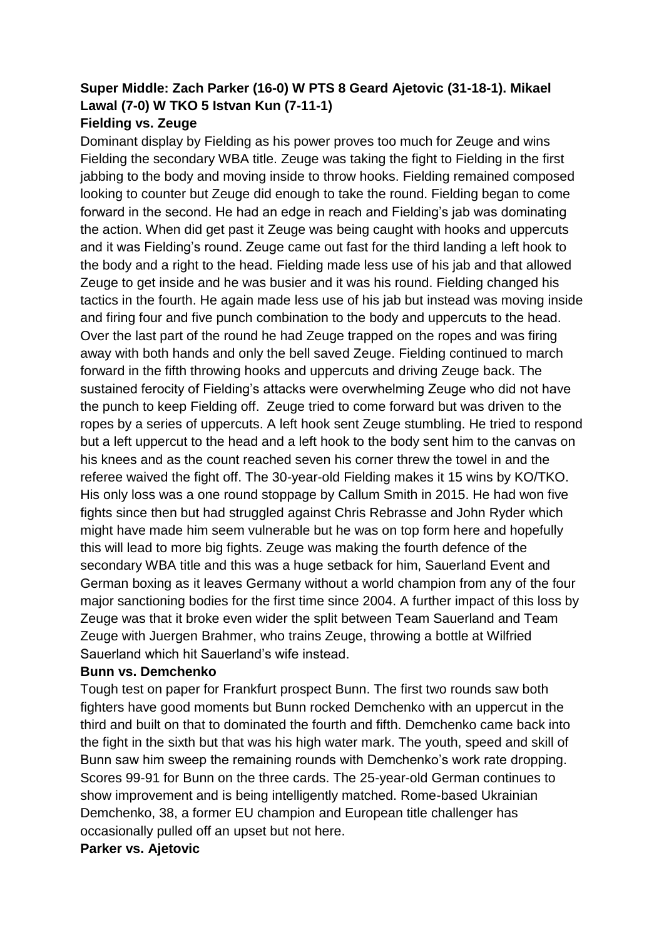## **Super Middle: Zach Parker (16-0) W PTS 8 Geard Ajetovic (31-18-1). Mikael Lawal (7-0) W TKO 5 Istvan Kun (7-11-1) Fielding vs. Zeuge**

# Dominant display by Fielding as his power proves too much for Zeuge and wins Fielding the secondary WBA title. Zeuge was taking the fight to Fielding in the first jabbing to the body and moving inside to throw hooks. Fielding remained composed looking to counter but Zeuge did enough to take the round. Fielding began to come forward in the second. He had an edge in reach and Fielding's jab was dominating the action. When did get past it Zeuge was being caught with hooks and uppercuts and it was Fielding's round. Zeuge came out fast for the third landing a left hook to the body and a right to the head. Fielding made less use of his jab and that allowed Zeuge to get inside and he was busier and it was his round. Fielding changed his tactics in the fourth. He again made less use of his jab but instead was moving inside and firing four and five punch combination to the body and uppercuts to the head. Over the last part of the round he had Zeuge trapped on the ropes and was firing away with both hands and only the bell saved Zeuge. Fielding continued to march forward in the fifth throwing hooks and uppercuts and driving Zeuge back. The sustained ferocity of Fielding's attacks were overwhelming Zeuge who did not have the punch to keep Fielding off. Zeuge tried to come forward but was driven to the ropes by a series of uppercuts. A left hook sent Zeuge stumbling. He tried to respond but a left uppercut to the head and a left hook to the body sent him to the canvas on his knees and as the count reached seven his corner threw the towel in and the referee waived the fight off. The 30-year-old Fielding makes it 15 wins by KO/TKO. His only loss was a one round stoppage by Callum Smith in 2015. He had won five fights since then but had struggled against Chris Rebrasse and John Ryder which might have made him seem vulnerable but he was on top form here and hopefully this will lead to more big fights. Zeuge was making the fourth defence of the secondary WBA title and this was a huge setback for him, Sauerland Event and German boxing as it leaves Germany without a world champion from any of the four major sanctioning bodies for the first time since 2004. A further impact of this loss by Zeuge was that it broke even wider the split between Team Sauerland and Team Zeuge with Juergen Brahmer, who trains Zeuge, throwing a bottle at Wilfried Sauerland which hit Sauerland's wife instead.

#### **Bunn vs. Demchenko**

Tough test on paper for Frankfurt prospect Bunn. The first two rounds saw both fighters have good moments but Bunn rocked Demchenko with an uppercut in the third and built on that to dominated the fourth and fifth. Demchenko came back into the fight in the sixth but that was his high water mark. The youth, speed and skill of Bunn saw him sweep the remaining rounds with Demchenko's work rate dropping. Scores 99-91 for Bunn on the three cards. The 25-year-old German continues to show improvement and is being intelligently matched. Rome-based Ukrainian Demchenko, 38, a former EU champion and European title challenger has occasionally pulled off an upset but not here.

#### **Parker vs. Ajetovic**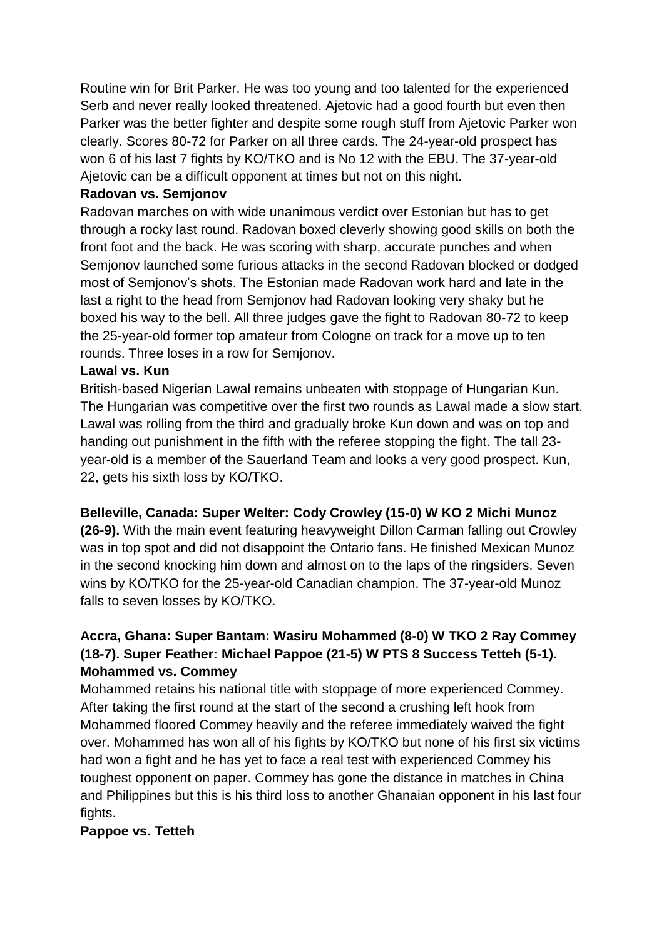Routine win for Brit Parker. He was too young and too talented for the experienced Serb and never really looked threatened. Ajetovic had a good fourth but even then Parker was the better fighter and despite some rough stuff from Ajetovic Parker won clearly. Scores 80-72 for Parker on all three cards. The 24-year-old prospect has won 6 of his last 7 fights by KO/TKO and is No 12 with the EBU. The 37-year-old Ajetovic can be a difficult opponent at times but not on this night.

#### **Radovan vs. Semjonov**

Radovan marches on with wide unanimous verdict over Estonian but has to get through a rocky last round. Radovan boxed cleverly showing good skills on both the front foot and the back. He was scoring with sharp, accurate punches and when Semjonov launched some furious attacks in the second Radovan blocked or dodged most of Semjonov's shots. The Estonian made Radovan work hard and late in the last a right to the head from Semjonov had Radovan looking very shaky but he boxed his way to the bell. All three judges gave the fight to Radovan 80-72 to keep the 25-year-old former top amateur from Cologne on track for a move up to ten rounds. Three loses in a row for Semjonov.

#### **Lawal vs. Kun**

British-based Nigerian Lawal remains unbeaten with stoppage of Hungarian Kun. The Hungarian was competitive over the first two rounds as Lawal made a slow start. Lawal was rolling from the third and gradually broke Kun down and was on top and handing out punishment in the fifth with the referee stopping the fight. The tall 23 year-old is a member of the Sauerland Team and looks a very good prospect. Kun, 22, gets his sixth loss by KO/TKO.

## **Belleville, Canada: Super Welter: Cody Crowley (15-0) W KO 2 Michi Munoz**

**(26-9).** With the main event featuring heavyweight Dillon Carman falling out Crowley was in top spot and did not disappoint the Ontario fans. He finished Mexican Munoz in the second knocking him down and almost on to the laps of the ringsiders. Seven wins by KO/TKO for the 25-year-old Canadian champion. The 37-year-old Munoz falls to seven losses by KO/TKO.

# **Accra, Ghana: Super Bantam: Wasiru Mohammed (8-0) W TKO 2 Ray Commey (18-7). Super Feather: Michael Pappoe (21-5) W PTS 8 Success Tetteh (5-1). Mohammed vs. Commey**

Mohammed retains his national title with stoppage of more experienced Commey. After taking the first round at the start of the second a crushing left hook from Mohammed floored Commey heavily and the referee immediately waived the fight over. Mohammed has won all of his fights by KO/TKO but none of his first six victims had won a fight and he has yet to face a real test with experienced Commey his toughest opponent on paper. Commey has gone the distance in matches in China and Philippines but this is his third loss to another Ghanaian opponent in his last four fights.

## **Pappoe vs. Tetteh**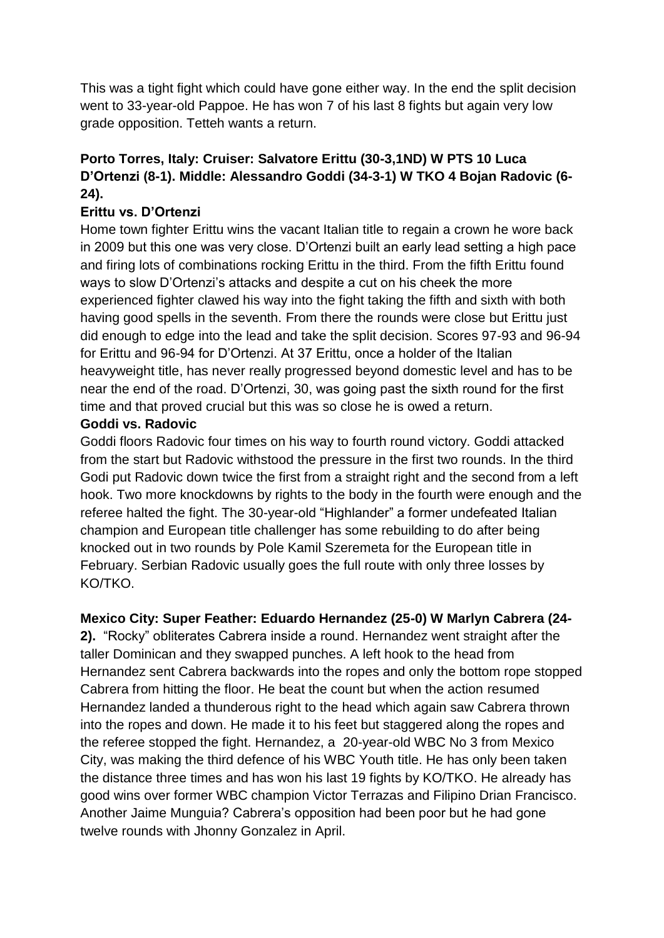This was a tight fight which could have gone either way. In the end the split decision went to 33-year-old Pappoe. He has won 7 of his last 8 fights but again very low grade opposition. Tetteh wants a return.

# **Porto Torres, Italy: Cruiser: Salvatore Erittu (30-3,1ND) W PTS 10 Luca D'Ortenzi (8-1). Middle: Alessandro Goddi (34-3-1) W TKO 4 Bojan Radovic (6- 24).**

## **Erittu vs. D'Ortenzi**

Home town fighter Erittu wins the vacant Italian title to regain a crown he wore back in 2009 but this one was very close. D'Ortenzi built an early lead setting a high pace and firing lots of combinations rocking Erittu in the third. From the fifth Erittu found ways to slow D'Ortenzi's attacks and despite a cut on his cheek the more experienced fighter clawed his way into the fight taking the fifth and sixth with both having good spells in the seventh. From there the rounds were close but Erittu just did enough to edge into the lead and take the split decision. Scores 97-93 and 96-94 for Erittu and 96-94 for D'Ortenzi. At 37 Erittu, once a holder of the Italian heavyweight title, has never really progressed beyond domestic level and has to be near the end of the road. D'Ortenzi, 30, was going past the sixth round for the first time and that proved crucial but this was so close he is owed a return.

#### **Goddi vs. Radovic**

Goddi floors Radovic four times on his way to fourth round victory. Goddi attacked from the start but Radovic withstood the pressure in the first two rounds. In the third Godi put Radovic down twice the first from a straight right and the second from a left hook. Two more knockdowns by rights to the body in the fourth were enough and the referee halted the fight. The 30-year-old "Highlander" a former undefeated Italian champion and European title challenger has some rebuilding to do after being knocked out in two rounds by Pole Kamil Szeremeta for the European title in February. Serbian Radovic usually goes the full route with only three losses by KO/TKO.

## **Mexico City: Super Feather: Eduardo Hernandez (25-0) W Marlyn Cabrera (24-**

**2).** "Rocky" obliterates Cabrera inside a round. Hernandez went straight after the taller Dominican and they swapped punches. A left hook to the head from Hernandez sent Cabrera backwards into the ropes and only the bottom rope stopped Cabrera from hitting the floor. He beat the count but when the action resumed Hernandez landed a thunderous right to the head which again saw Cabrera thrown into the ropes and down. He made it to his feet but staggered along the ropes and the referee stopped the fight. Hernandez, a 20-year-old WBC No 3 from Mexico City, was making the third defence of his WBC Youth title. He has only been taken the distance three times and has won his last 19 fights by KO/TKO. He already has good wins over former WBC champion Victor Terrazas and Filipino Drian Francisco. Another Jaime Munguia? Cabrera's opposition had been poor but he had gone twelve rounds with Jhonny Gonzalez in April.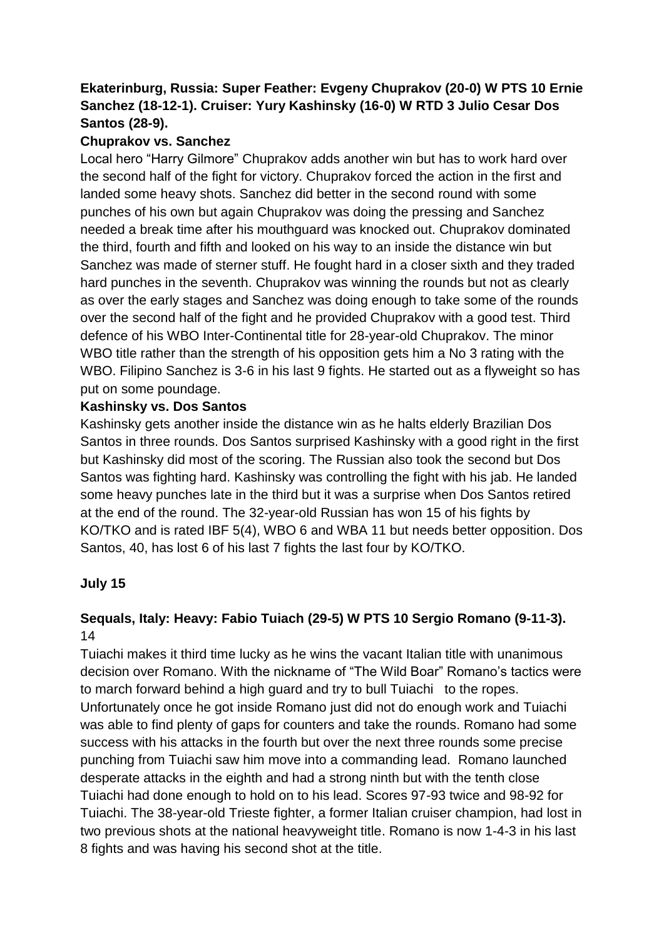## **Ekaterinburg, Russia: Super Feather: Evgeny Chuprakov (20-0) W PTS 10 Ernie Sanchez (18-12-1). Cruiser: Yury Kashinsky (16-0) W RTD 3 Julio Cesar Dos Santos (28-9).**

## **Chuprakov vs. Sanchez**

Local hero "Harry Gilmore" Chuprakov adds another win but has to work hard over the second half of the fight for victory. Chuprakov forced the action in the first and landed some heavy shots. Sanchez did better in the second round with some punches of his own but again Chuprakov was doing the pressing and Sanchez needed a break time after his mouthguard was knocked out. Chuprakov dominated the third, fourth and fifth and looked on his way to an inside the distance win but Sanchez was made of sterner stuff. He fought hard in a closer sixth and they traded hard punches in the seventh. Chuprakov was winning the rounds but not as clearly as over the early stages and Sanchez was doing enough to take some of the rounds over the second half of the fight and he provided Chuprakov with a good test. Third defence of his WBO Inter-Continental title for 28-year-old Chuprakov. The minor WBO title rather than the strength of his opposition gets him a No 3 rating with the WBO. Filipino Sanchez is 3-6 in his last 9 fights. He started out as a flyweight so has put on some poundage.

## **Kashinsky vs. Dos Santos**

Kashinsky gets another inside the distance win as he halts elderly Brazilian Dos Santos in three rounds. Dos Santos surprised Kashinsky with a good right in the first but Kashinsky did most of the scoring. The Russian also took the second but Dos Santos was fighting hard. Kashinsky was controlling the fight with his jab. He landed some heavy punches late in the third but it was a surprise when Dos Santos retired at the end of the round. The 32-year-old Russian has won 15 of his fights by KO/TKO and is rated IBF 5(4), WBO 6 and WBA 11 but needs better opposition. Dos Santos, 40, has lost 6 of his last 7 fights the last four by KO/TKO.

## **July 15**

# **Sequals, Italy: Heavy: Fabio Tuiach (29-5) W PTS 10 Sergio Romano (9-11-3).** 14

Tuiachi makes it third time lucky as he wins the vacant Italian title with unanimous decision over Romano. With the nickname of "The Wild Boar" Romano's tactics were to march forward behind a high guard and try to bull Tuiachi to the ropes. Unfortunately once he got inside Romano just did not do enough work and Tuiachi was able to find plenty of gaps for counters and take the rounds. Romano had some success with his attacks in the fourth but over the next three rounds some precise punching from Tuiachi saw him move into a commanding lead. Romano launched desperate attacks in the eighth and had a strong ninth but with the tenth close Tuiachi had done enough to hold on to his lead. Scores 97-93 twice and 98-92 for Tuiachi. The 38-year-old Trieste fighter, a former Italian cruiser champion, had lost in two previous shots at the national heavyweight title. Romano is now 1-4-3 in his last 8 fights and was having his second shot at the title.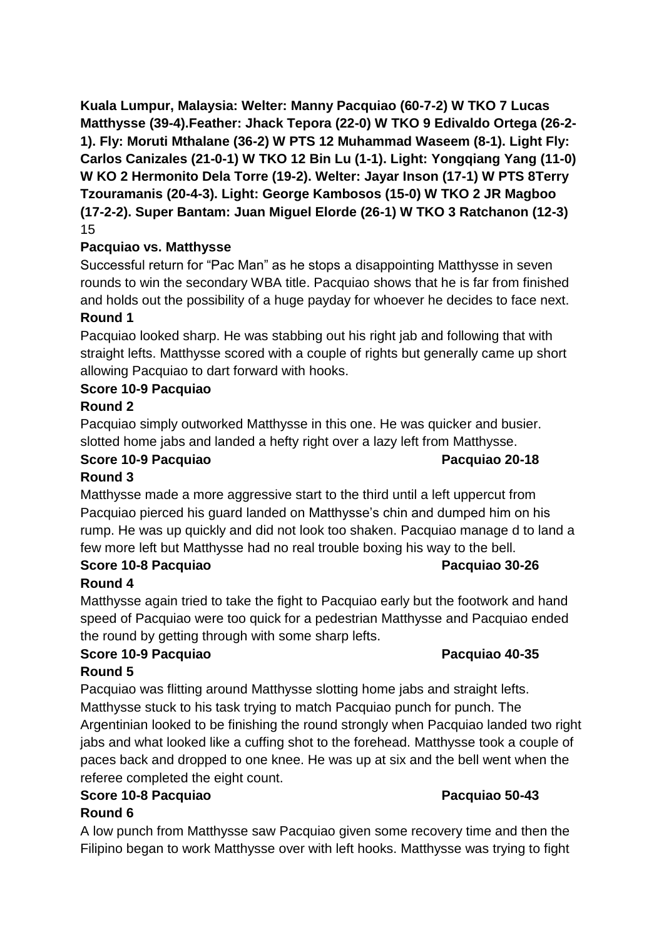**Kuala Lumpur, Malaysia: Welter: Manny Pacquiao (60-7-2) W TKO 7 Lucas Matthysse (39-4).Feather: Jhack Tepora (22-0) W TKO 9 Edivaldo Ortega (26-2- 1). Fly: Moruti Mthalane (36-2) W PTS 12 Muhammad Waseem (8-1). Light Fly: Carlos Canizales (21-0-1) W TKO 12 Bin Lu (1-1). Light: Yongqiang Yang (11-0) W KO 2 Hermonito Dela Torre (19-2). Welter: Jayar Inson (17-1) W PTS 8Terry Tzouramanis (20-4-3). Light: George Kambosos (15-0) W TKO 2 JR Magboo (17-2-2). Super Bantam: Juan Miguel Elorde (26-1) W TKO 3 Ratchanon (12-3)** 15

## **Pacquiao vs. Matthysse**

Successful return for "Pac Man" as he stops a disappointing Matthysse in seven rounds to win the secondary WBA title. Pacquiao shows that he is far from finished and holds out the possibility of a huge payday for whoever he decides to face next. **Round 1**

Pacquiao looked sharp. He was stabbing out his right jab and following that with straight lefts. Matthysse scored with a couple of rights but generally came up short allowing Pacquiao to dart forward with hooks.

## **Score 10-9 Pacquiao**

## **Round 2**

Pacquiao simply outworked Matthysse in this one. He was quicker and busier. slotted home jabs and landed a hefty right over a lazy left from Matthysse.

#### **Score 10-9 Pacquiao Pacquiao 20-18 Round 3**

Matthysse made a more aggressive start to the third until a left uppercut from Pacquiao pierced his guard landed on Matthysse's chin and dumped him on his rump. He was up quickly and did not look too shaken. Pacquiao manage d to land a few more left but Matthysse had no real trouble boxing his way to the bell.

## **Score 10-8 Pacquiao Pacquiao 30-26**

## **Round 4**

Matthysse again tried to take the fight to Pacquiao early but the footwork and hand speed of Pacquiao were too quick for a pedestrian Matthysse and Pacquiao ended the round by getting through with some sharp lefts.

# **Score 10-9 Pacquiao Pacquiao 40-35**

## **Round 5**

Pacquiao was flitting around Matthysse slotting home jabs and straight lefts. Matthysse stuck to his task trying to match Pacquiao punch for punch. The Argentinian looked to be finishing the round strongly when Pacquiao landed two right jabs and what looked like a cuffing shot to the forehead. Matthysse took a couple of paces back and dropped to one knee. He was up at six and the bell went when the referee completed the eight count.

## **Score 10-8 Pacquiao Pacquiao 50-43**

# **Round 6**

A low punch from Matthysse saw Pacquiao given some recovery time and then the Filipino began to work Matthysse over with left hooks. Matthysse was trying to fight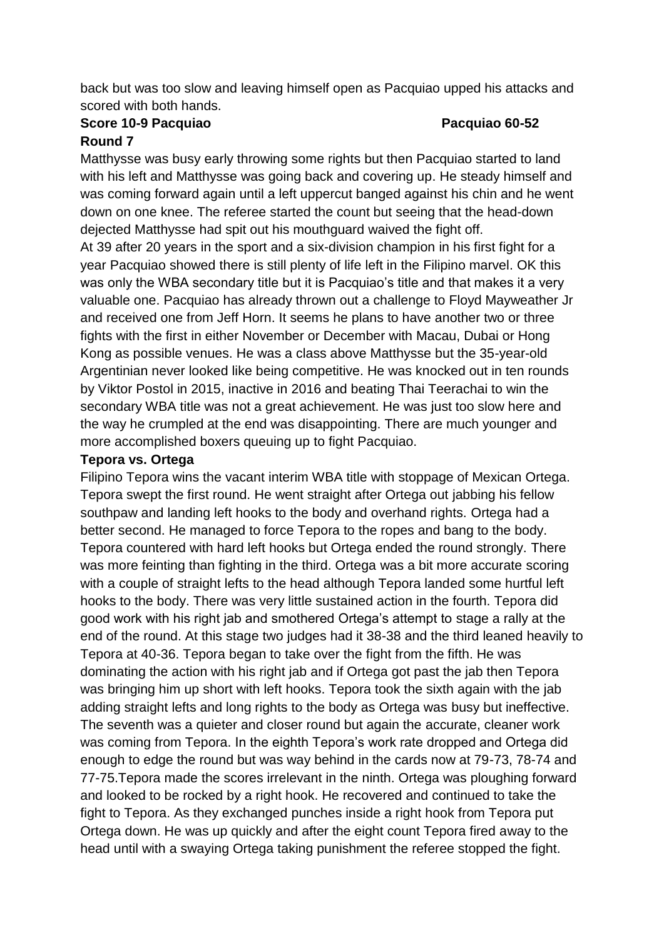back but was too slow and leaving himself open as Pacquiao upped his attacks and scored with both hands.

# **Score 10-9 Pacquiao Pacquiao 60-52**

#### **Round 7**

Matthysse was busy early throwing some rights but then Pacquiao started to land with his left and Matthysse was going back and covering up. He steady himself and was coming forward again until a left uppercut banged against his chin and he went down on one knee. The referee started the count but seeing that the head-down dejected Matthysse had spit out his mouthguard waived the fight off.

At 39 after 20 years in the sport and a six-division champion in his first fight for a year Pacquiao showed there is still plenty of life left in the Filipino marvel. OK this was only the WBA secondary title but it is Pacquiao's title and that makes it a very valuable one. Pacquiao has already thrown out a challenge to Floyd Mayweather Jr and received one from Jeff Horn. It seems he plans to have another two or three fights with the first in either November or December with Macau, Dubai or Hong Kong as possible venues. He was a class above Matthysse but the 35-year-old Argentinian never looked like being competitive. He was knocked out in ten rounds by Viktor Postol in 2015, inactive in 2016 and beating Thai Teerachai to win the secondary WBA title was not a great achievement. He was just too slow here and the way he crumpled at the end was disappointing. There are much younger and more accomplished boxers queuing up to fight Pacquiao.

#### **Tepora vs. Ortega**

Filipino Tepora wins the vacant interim WBA title with stoppage of Mexican Ortega. Tepora swept the first round. He went straight after Ortega out jabbing his fellow southpaw and landing left hooks to the body and overhand rights. Ortega had a better second. He managed to force Tepora to the ropes and bang to the body. Tepora countered with hard left hooks but Ortega ended the round strongly. There was more feinting than fighting in the third. Ortega was a bit more accurate scoring with a couple of straight lefts to the head although Tepora landed some hurtful left hooks to the body. There was very little sustained action in the fourth. Tepora did good work with his right jab and smothered Ortega's attempt to stage a rally at the end of the round. At this stage two judges had it 38-38 and the third leaned heavily to Tepora at 40-36. Tepora began to take over the fight from the fifth. He was dominating the action with his right jab and if Ortega got past the jab then Tepora was bringing him up short with left hooks. Tepora took the sixth again with the jab adding straight lefts and long rights to the body as Ortega was busy but ineffective. The seventh was a quieter and closer round but again the accurate, cleaner work was coming from Tepora. In the eighth Tepora's work rate dropped and Ortega did enough to edge the round but was way behind in the cards now at 79-73, 78-74 and 77-75.Tepora made the scores irrelevant in the ninth. Ortega was ploughing forward and looked to be rocked by a right hook. He recovered and continued to take the fight to Tepora. As they exchanged punches inside a right hook from Tepora put Ortega down. He was up quickly and after the eight count Tepora fired away to the head until with a swaying Ortega taking punishment the referee stopped the fight.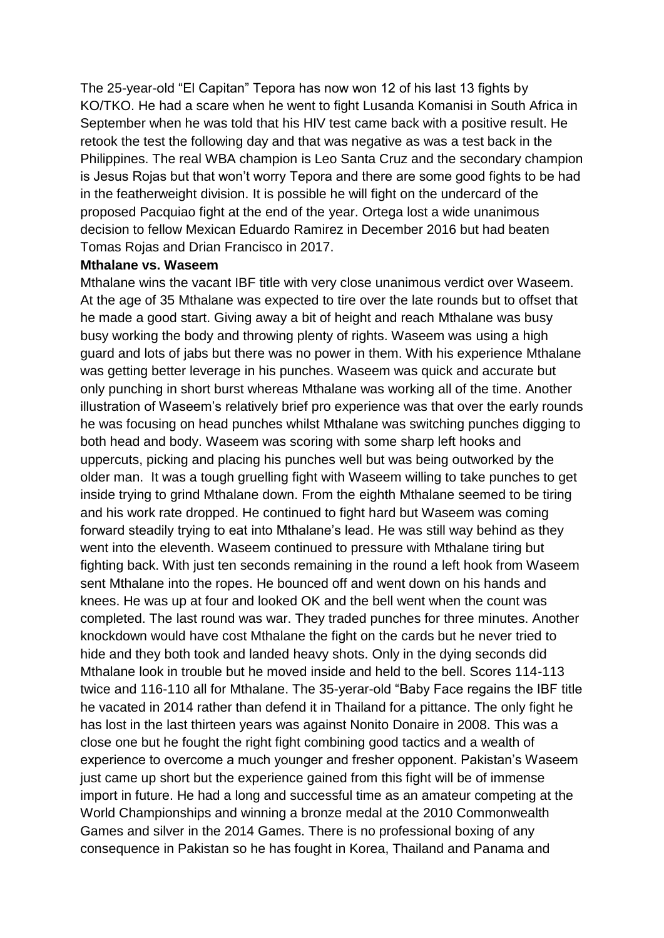The 25-year-old "El Capitan" Tepora has now won 12 of his last 13 fights by KO/TKO. He had a scare when he went to fight Lusanda Komanisi in South Africa in September when he was told that his HIV test came back with a positive result. He retook the test the following day and that was negative as was a test back in the Philippines. The real WBA champion is Leo Santa Cruz and the secondary champion is Jesus Rojas but that won't worry Tepora and there are some good fights to be had in the featherweight division. It is possible he will fight on the undercard of the proposed Pacquiao fight at the end of the year. Ortega lost a wide unanimous decision to fellow Mexican Eduardo Ramirez in December 2016 but had beaten Tomas Rojas and Drian Francisco in 2017.

#### **Mthalane vs. Waseem**

Mthalane wins the vacant IBF title with very close unanimous verdict over Waseem. At the age of 35 Mthalane was expected to tire over the late rounds but to offset that he made a good start. Giving away a bit of height and reach Mthalane was busy busy working the body and throwing plenty of rights. Waseem was using a high guard and lots of jabs but there was no power in them. With his experience Mthalane was getting better leverage in his punches. Waseem was quick and accurate but only punching in short burst whereas Mthalane was working all of the time. Another illustration of Waseem's relatively brief pro experience was that over the early rounds he was focusing on head punches whilst Mthalane was switching punches digging to both head and body. Waseem was scoring with some sharp left hooks and uppercuts, picking and placing his punches well but was being outworked by the older man. It was a tough gruelling fight with Waseem willing to take punches to get inside trying to grind Mthalane down. From the eighth Mthalane seemed to be tiring and his work rate dropped. He continued to fight hard but Waseem was coming forward steadily trying to eat into Mthalane's lead. He was still way behind as they went into the eleventh. Waseem continued to pressure with Mthalane tiring but fighting back. With just ten seconds remaining in the round a left hook from Waseem sent Mthalane into the ropes. He bounced off and went down on his hands and knees. He was up at four and looked OK and the bell went when the count was completed. The last round was war. They traded punches for three minutes. Another knockdown would have cost Mthalane the fight on the cards but he never tried to hide and they both took and landed heavy shots. Only in the dying seconds did Mthalane look in trouble but he moved inside and held to the bell. Scores 114-113 twice and 116-110 all for Mthalane. The 35-yerar-old "Baby Face regains the IBF title he vacated in 2014 rather than defend it in Thailand for a pittance. The only fight he has lost in the last thirteen years was against Nonito Donaire in 2008. This was a close one but he fought the right fight combining good tactics and a wealth of experience to overcome a much younger and fresher opponent. Pakistan's Waseem just came up short but the experience gained from this fight will be of immense import in future. He had a long and successful time as an amateur competing at the World Championships and winning a bronze medal at the 2010 Commonwealth Games and silver in the 2014 Games. There is no professional boxing of any consequence in Pakistan so he has fought in Korea, Thailand and Panama and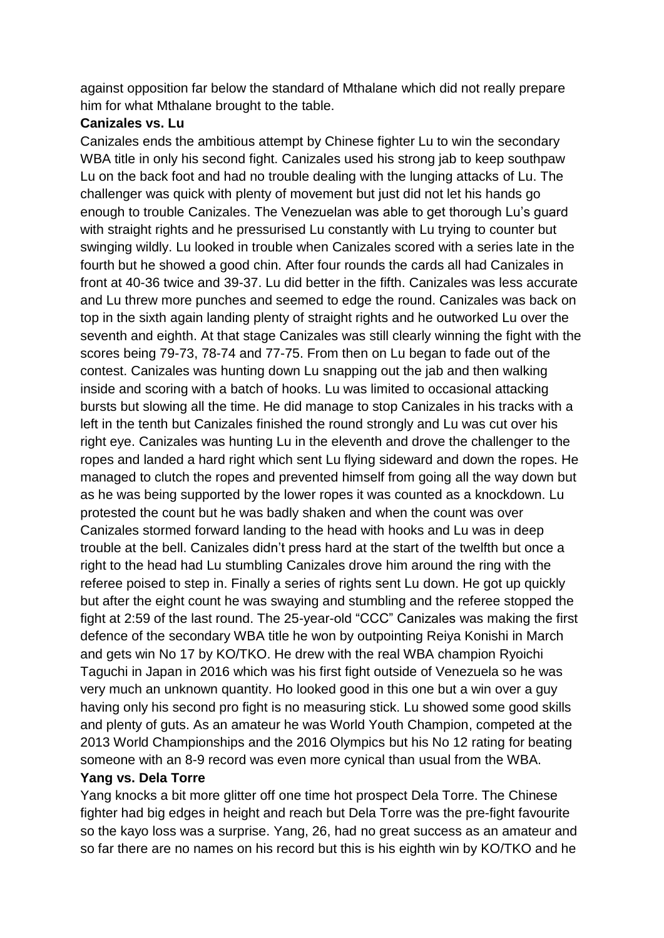against opposition far below the standard of Mthalane which did not really prepare him for what Mthalane brought to the table.

## **Canizales vs. Lu**

Canizales ends the ambitious attempt by Chinese fighter Lu to win the secondary WBA title in only his second fight. Canizales used his strong jab to keep southpaw Lu on the back foot and had no trouble dealing with the lunging attacks of Lu. The challenger was quick with plenty of movement but just did not let his hands go enough to trouble Canizales. The Venezuelan was able to get thorough Lu's guard with straight rights and he pressurised Lu constantly with Lu trying to counter but swinging wildly. Lu looked in trouble when Canizales scored with a series late in the fourth but he showed a good chin. After four rounds the cards all had Canizales in front at 40-36 twice and 39-37. Lu did better in the fifth. Canizales was less accurate and Lu threw more punches and seemed to edge the round. Canizales was back on top in the sixth again landing plenty of straight rights and he outworked Lu over the seventh and eighth. At that stage Canizales was still clearly winning the fight with the scores being 79-73, 78-74 and 77-75. From then on Lu began to fade out of the contest. Canizales was hunting down Lu snapping out the jab and then walking inside and scoring with a batch of hooks. Lu was limited to occasional attacking bursts but slowing all the time. He did manage to stop Canizales in his tracks with a left in the tenth but Canizales finished the round strongly and Lu was cut over his right eye. Canizales was hunting Lu in the eleventh and drove the challenger to the ropes and landed a hard right which sent Lu flying sideward and down the ropes. He managed to clutch the ropes and prevented himself from going all the way down but as he was being supported by the lower ropes it was counted as a knockdown. Lu protested the count but he was badly shaken and when the count was over Canizales stormed forward landing to the head with hooks and Lu was in deep trouble at the bell. Canizales didn't press hard at the start of the twelfth but once a right to the head had Lu stumbling Canizales drove him around the ring with the referee poised to step in. Finally a series of rights sent Lu down. He got up quickly but after the eight count he was swaying and stumbling and the referee stopped the fight at 2:59 of the last round. The 25-year-old "CCC" Canizales was making the first defence of the secondary WBA title he won by outpointing Reiya Konishi in March and gets win No 17 by KO/TKO. He drew with the real WBA champion Ryoichi Taguchi in Japan in 2016 which was his first fight outside of Venezuela so he was very much an unknown quantity. Ho looked good in this one but a win over a guy having only his second pro fight is no measuring stick. Lu showed some good skills and plenty of guts. As an amateur he was World Youth Champion, competed at the 2013 World Championships and the 2016 Olympics but his No 12 rating for beating someone with an 8-9 record was even more cynical than usual from the WBA.

# **Yang vs. Dela Torre**

Yang knocks a bit more glitter off one time hot prospect Dela Torre. The Chinese fighter had big edges in height and reach but Dela Torre was the pre-fight favourite so the kayo loss was a surprise. Yang, 26, had no great success as an amateur and so far there are no names on his record but this is his eighth win by KO/TKO and he